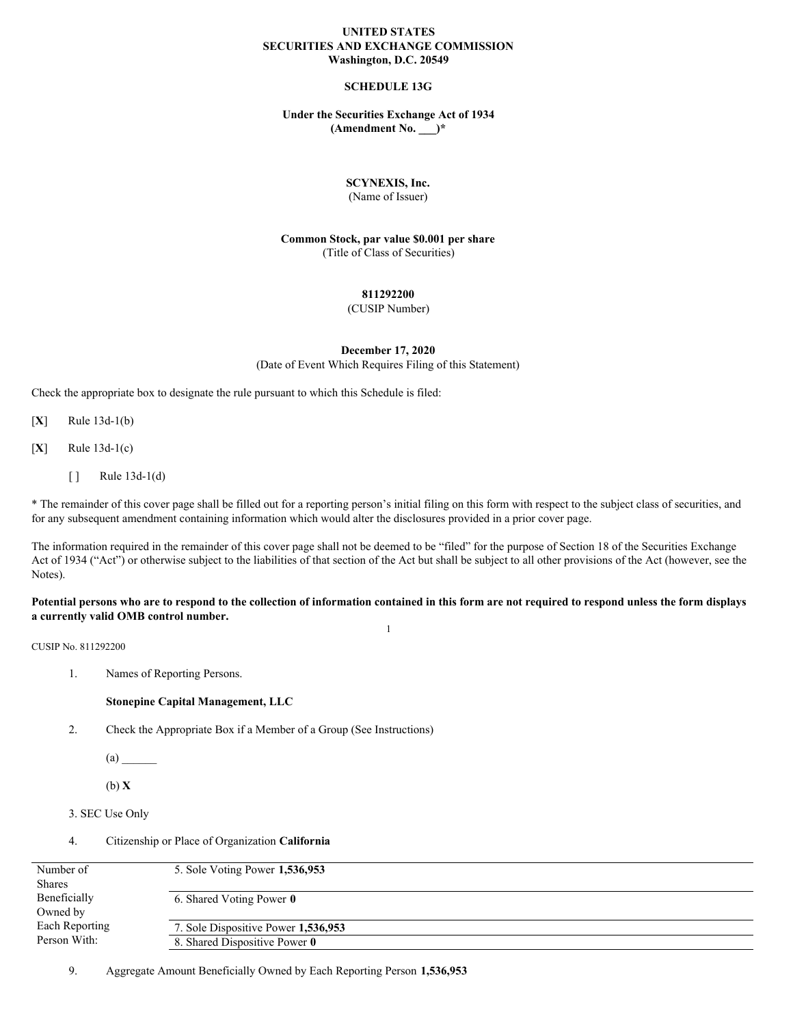# **UNITED STATES SECURITIES AND EXCHANGE COMMISSION Washington, D.C. 20549**

# **SCHEDULE 13G**

## **Under the Securities Exchange Act of 1934 (Amendment No. \_\_\_)\***

# **SCYNEXIS, Inc.**

(Name of Issuer)

**Common Stock, par value \$0.001 per share** (Title of Class of Securities)

## **811292200**

(CUSIP Number)

## **December 17, 2020**

(Date of Event Which Requires Filing of this Statement)

Check the appropriate box to designate the rule pursuant to which this Schedule is filed:

[**X**] Rule 13d-1(b)

[**X**] Rule 13d-1(c)

 $[ ]$  Rule 13d-1(d)

\* The remainder of this cover page shall be filled out for a reporting person's initial filing on this form with respect to the subject class of securities, and for any subsequent amendment containing information which would alter the disclosures provided in a prior cover page.

The information required in the remainder of this cover page shall not be deemed to be "filed" for the purpose of Section 18 of the Securities Exchange Act of 1934 ("Act") or otherwise subject to the liabilities of that section of the Act but shall be subject to all other provisions of the Act (however, see the Notes).

#### Potential persons who are to respond to the collection of information contained in this form are not required to respond unless the form displays **a currently valid OMB control number.** 1

CUSIP No. 811292200

1. Names of Reporting Persons.

#### **Stonepine Capital Management, LLC**

2. Check the Appropriate Box if a Member of a Group (See Instructions)

 $(a)$ 

(b) **X**

```
3. SEC Use Only
```
4. Citizenship or Place of Organization **California**

| Number of      | 5. Sole Voting Power 1,536,953      |
|----------------|-------------------------------------|
| <b>Shares</b>  |                                     |
| Beneficially   | 6. Shared Voting Power 0            |
| Owned by       |                                     |
| Each Reporting | 7. Sole Dispositive Power 1,536,953 |
| Person With:   | 8. Shared Dispositive Power 0       |
|                |                                     |

9. Aggregate Amount Beneficially Owned by Each Reporting Person **1,536,953**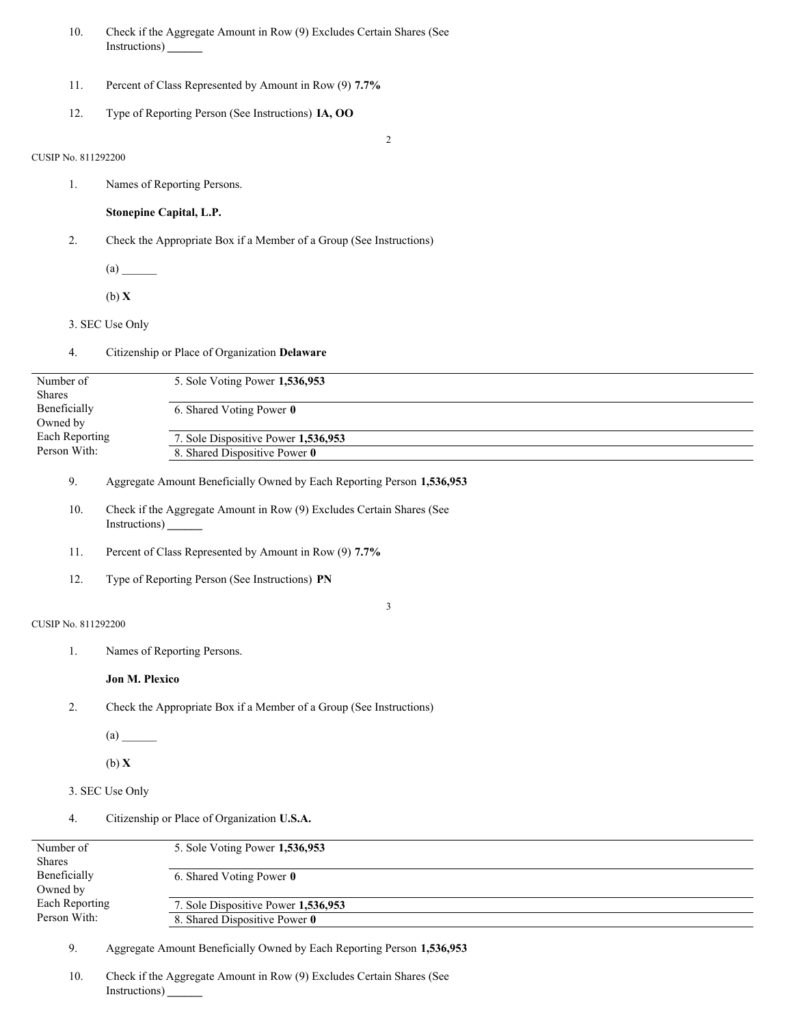- 10. Check if the Aggregate Amount in Row (9) Excludes Certain Shares (See Instructions) **\_\_\_\_\_\_**
- 11. Percent of Class Represented by Amount in Row (9) **7.7%**
- 12. Type of Reporting Person (See Instructions) **IA, OO**

2

# CUSIP No. 811292200

1. Names of Reporting Persons.

**Stonepine Capital, L.P.**

- 2. Check the Appropriate Box if a Member of a Group (See Instructions)
	- $(a)$

(b) **X**

- 3. SEC Use Only
- 4. Citizenship or Place of Organization **Delaware** Number of Shares Beneficially Owned by Each Reporting Person With: 5. Sole Voting Power **1,536,953** 6. Shared Voting Power **0** 7. Sole Dispositive Power **1,536,953**

8. Shared Dispositive Power **0**

- 9. Aggregate Amount Beneficially Owned by Each Reporting Person **1,536,953**
- 10. Check if the Aggregate Amount in Row (9) Excludes Certain Shares (See Instructions) **\_\_\_\_\_\_**
- 11. Percent of Class Represented by Amount in Row (9) **7.7%**
- 12. Type of Reporting Person (See Instructions) **PN**

## 3

- CUSIP No. 811292200
	- 1. Names of Reporting Persons.

# **Jon M. Plexico**

2. Check the Appropriate Box if a Member of a Group (See Instructions)

 $(a)$ 

(b) **X**

- 3. SEC Use Only
- 4. Citizenship or Place of Organization **U.S.A.**

| Number of                      | 5. Sole Voting Power 1,536,953      |
|--------------------------------|-------------------------------------|
| <b>Shares</b>                  |                                     |
| Beneficially                   | 6. Shared Voting Power 0            |
| Owned by                       |                                     |
| Each Reporting<br>Person With: | 7. Sole Dispositive Power 1,536,953 |
|                                | 8. Shared Dispositive Power 0       |
|                                |                                     |

9. Aggregate Amount Beneficially Owned by Each Reporting Person **1,536,953**

10. Check if the Aggregate Amount in Row (9) Excludes Certain Shares (See Instructions) **\_\_\_\_\_\_**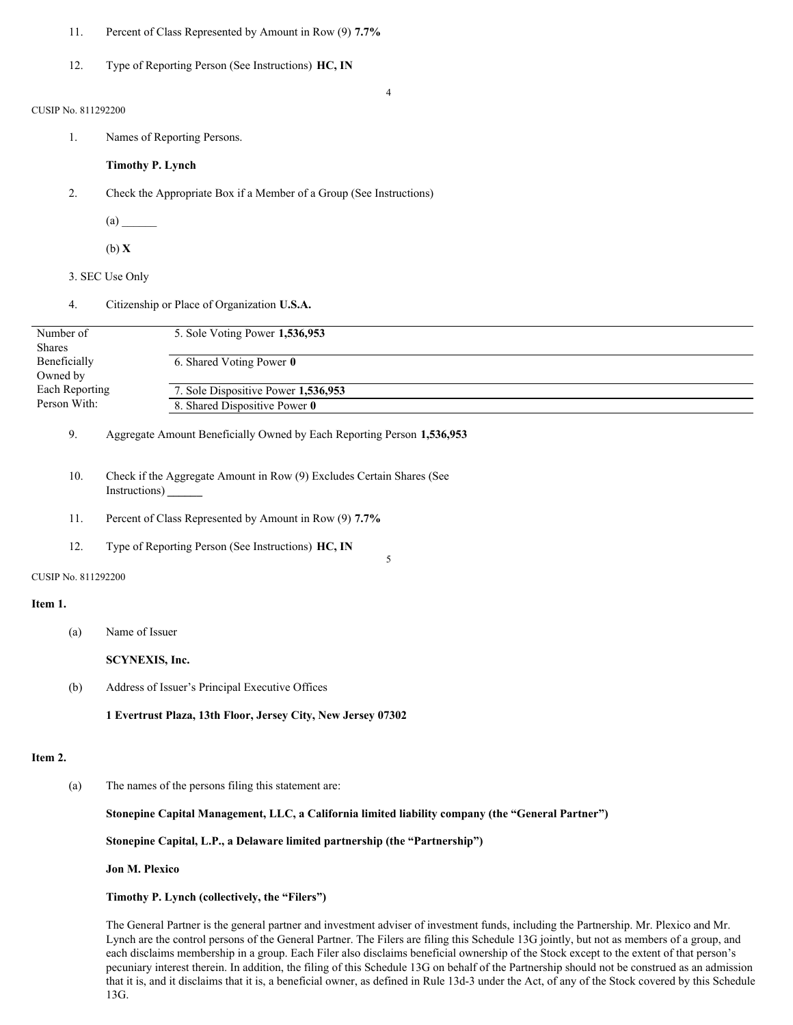- 11. Percent of Class Represented by Amount in Row (9) **7.7%**
- 12. Type of Reporting Person (See Instructions) **HC, IN**

#### 4

## CUSIP No. 811292200

1. Names of Reporting Persons.

# **Timothy P. Lynch**

- 2. Check the Appropriate Box if a Member of a Group (See Instructions)
	- $(a)$
	- (b) **X**
- 3. SEC Use Only
- 4. Citizenship or Place of Organization **U.S.A.**

| Number of      | 5. Sole Voting Power 1,536,953      |  |
|----------------|-------------------------------------|--|
| <b>Shares</b>  |                                     |  |
| Beneficially   | 6. Shared Voting Power 0            |  |
| Owned by       |                                     |  |
| Each Reporting | 7. Sole Dispositive Power 1,536,953 |  |
| Person With:   | 8. Shared Dispositive Power 0       |  |
|                |                                     |  |

5

# 9. Aggregate Amount Beneficially Owned by Each Reporting Person **1,536,953**

- 10. Check if the Aggregate Amount in Row (9) Excludes Certain Shares (See Instructions) **\_\_\_\_\_\_**
- 11. Percent of Class Represented by Amount in Row (9) **7.7%**
- 12. Type of Reporting Person (See Instructions) **HC, IN**

#### CUSIP No. 811292200

#### **Item 1.**

(a) Name of Issuer

**SCYNEXIS, Inc.**

(b) Address of Issuer's Principal Executive Offices

**1 Evertrust Plaza, 13th Floor, Jersey City, New Jersey 07302**

#### **Item 2.**

(a) The names of the persons filing this statement are:

# **Stonepine Capital Management, LLC, a California limited liability company (the "General Partner")**

**Stonepine Capital, L.P., a Delaware limited partnership (the "Partnership")**

#### **Jon M. Plexico**

# **Timothy P. Lynch (collectively, the "Filers")**

The General Partner is the general partner and investment adviser of investment funds, including the Partnership. Mr. Plexico and Mr. Lynch are the control persons of the General Partner. The Filers are filing this Schedule 13G jointly, but not as members of a group, and each disclaims membership in a group. Each Filer also disclaims beneficial ownership of the Stock except to the extent of that person's pecuniary interest therein. In addition, the filing of this Schedule 13G on behalf of the Partnership should not be construed as an admission that it is, and it disclaims that it is, a beneficial owner, as defined in Rule 13d-3 under the Act, of any of the Stock covered by this Schedule 13G.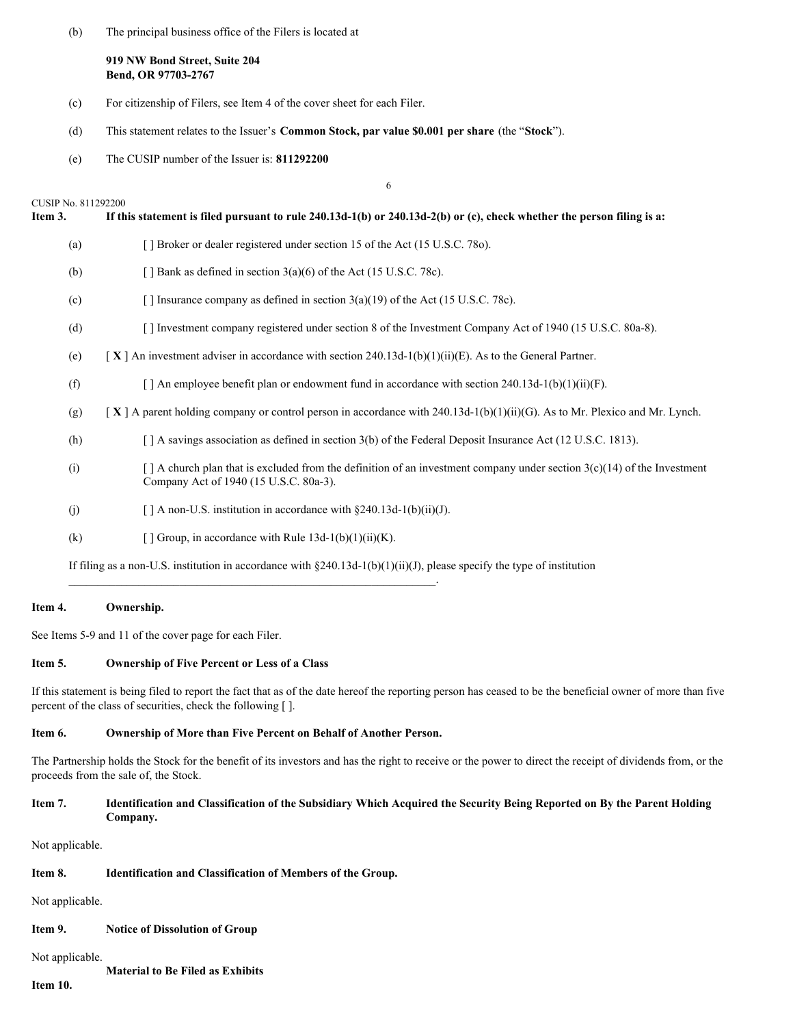(b) The principal business office of the Filers is located at

**919 NW Bond Street, Suite 204 Bend, OR 97703-2767**

- (c) For citizenship of Filers, see Item 4 of the cover sheet for each Filer.
- (d) This statement relates to the Issuer's **Common Stock, par value \$0.001 per share** (the "**Stock**").
- (e) The CUSIP number of the Issuer is: **811292200**

|                                | 6                                                                                                                                                                       |
|--------------------------------|-------------------------------------------------------------------------------------------------------------------------------------------------------------------------|
| CUSIP No. 811292200<br>Item 3. | If this statement is filed pursuant to rule 240.13d-1(b) or 240.13d-2(b) or (c), check whether the person filing is a:                                                  |
| (a)                            | [ ] Broker or dealer registered under section 15 of the Act (15 U.S.C. 780).                                                                                            |
| (b)                            | [] Bank as defined in section $3(a)(6)$ of the Act (15 U.S.C. 78c).                                                                                                     |
| (c)                            | [] Insurance company as defined in section $3(a)(19)$ of the Act (15 U.S.C. 78c).                                                                                       |
| (d)                            | [] Investment company registered under section 8 of the Investment Company Act of 1940 (15 U.S.C. 80a-8).                                                               |
| (e)                            | [X] An investment adviser in accordance with section 240.13d-1(b)(1)(ii)(E). As to the General Partner.                                                                 |
| (f)                            | [ ] An employee benefit plan or endowment fund in accordance with section 240.13d-1(b)(1)(ii)(F).                                                                       |
| (g)                            | $[X]$ A parent holding company or control person in accordance with 240.13d-1(b)(1)(ii)(G). As to Mr. Plexico and Mr. Lynch.                                            |
| (h)                            | [ ] A savings association as defined in section 3(b) of the Federal Deposit Insurance Act (12 U.S.C. 1813).                                                             |
| (i)                            | $\lceil$ A church plan that is excluded from the definition of an investment company under section 3(c)(14) of the Investment<br>Company Act of 1940 (15 U.S.C. 80a-3). |
| (j)                            | $\lceil \cdot \rceil$ A non-U.S. institution in accordance with §240.13d-1(b)(ii)(J).                                                                                   |
| (k)                            | [ ] Group, in accordance with Rule $13d-1(b)(1)(ii)(K)$ .                                                                                                               |
|                                | If filing as a non-U.S. institution in accordance with $\S 240.13d-1(b)(1)(ii)(J)$ , please specify the type of institution                                             |

## **Item 4. Ownership.**

See Items 5-9 and 11 of the cover page for each Filer.

## **Item 5. Ownership of Five Percent or Less of a Class**

If this statement is being filed to report the fact that as of the date hereof the reporting person has ceased to be the beneficial owner of more than five percent of the class of securities, check the following [ ].

# **Item 6. Ownership of More than Five Percent on Behalf of Another Person.**

\_\_\_\_\_\_\_\_\_\_\_\_\_\_\_\_\_\_\_\_\_\_\_\_\_\_\_\_\_\_\_\_\_\_\_\_\_\_\_\_\_\_\_\_\_\_\_\_\_\_\_\_\_\_\_\_\_\_\_\_\_\_\_.

The Partnership holds the Stock for the benefit of its investors and has the right to receive or the power to direct the receipt of dividends from, or the proceeds from the sale of, the Stock.

# Item 7. Identification and Classification of the Subsidiary Which Acquired the Security Being Reported on By the Parent Holding **Company.**

Not applicable.

# **Item 8. Identification and Classification of Members of the Group.**

Not applicable.

**Item 9. Notice of Dissolution of Group**

Not applicable.

**Material to Be Filed as Exhibits**

**Item 10.**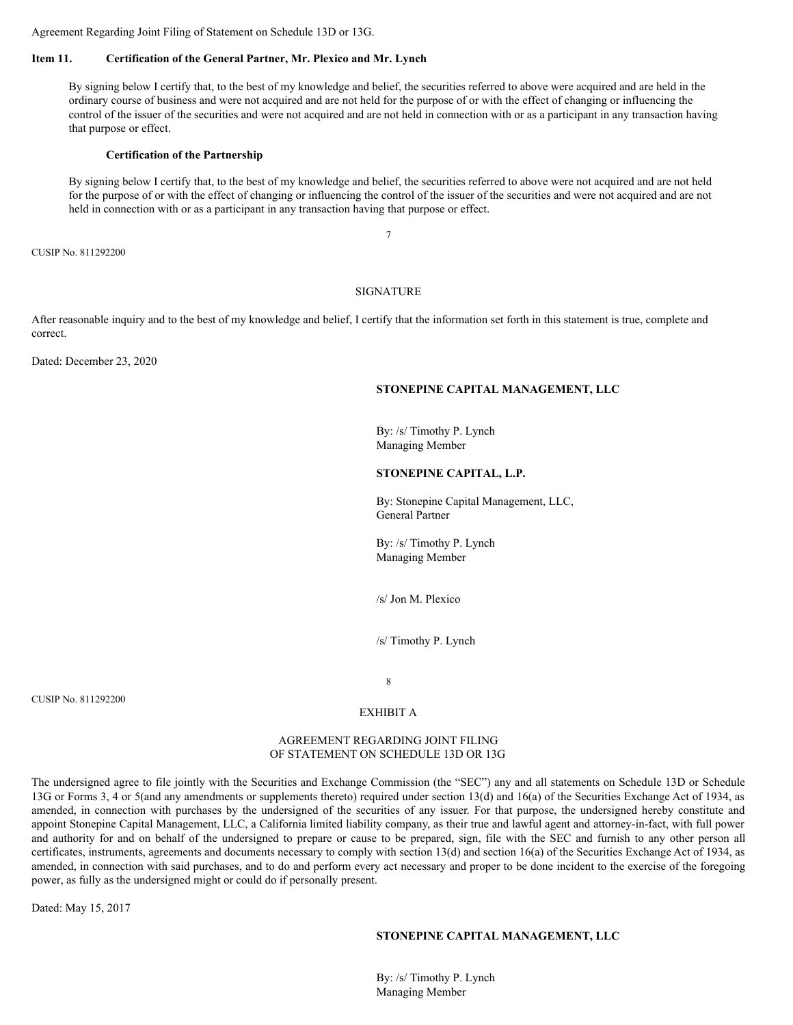Agreement Regarding Joint Filing of Statement on Schedule 13D or 13G.

## **Item 11. Certification of the General Partner, Mr. Plexico and Mr. Lynch**

By signing below I certify that, to the best of my knowledge and belief, the securities referred to above were acquired and are held in the ordinary course of business and were not acquired and are not held for the purpose of or with the effect of changing or influencing the control of the issuer of the securities and were not acquired and are not held in connection with or as a participant in any transaction having that purpose or effect.

#### **Certification of the Partnership**

By signing below I certify that, to the best of my knowledge and belief, the securities referred to above were not acquired and are not held for the purpose of or with the effect of changing or influencing the control of the issuer of the securities and were not acquired and are not held in connection with or as a participant in any transaction having that purpose or effect.

7

CUSIP No. 811292200

## SIGNATURE

After reasonable inquiry and to the best of my knowledge and belief, I certify that the information set forth in this statement is true, complete and correct.

Dated: December 23, 2020

#### **STONEPINE CAPITAL MANAGEMENT, LLC**

By: /s/ Timothy P. Lynch Managing Member

#### **STONEPINE CAPITAL, L.P.**

By: Stonepine Capital Management, LLC, General Partner

By: /s/ Timothy P. Lynch Managing Member

/s/ Jon M. Plexico

/s/ Timothy P. Lynch

CUSIP No. 811292200

#### EXHIBIT A

8

#### AGREEMENT REGARDING JOINT FILING OF STATEMENT ON SCHEDULE 13D OR 13G

The undersigned agree to file jointly with the Securities and Exchange Commission (the "SEC") any and all statements on Schedule 13D or Schedule 13G or Forms 3, 4 or 5(and any amendments or supplements thereto) required under section 13(d) and 16(a) of the Securities Exchange Act of 1934, as amended, in connection with purchases by the undersigned of the securities of any issuer. For that purpose, the undersigned hereby constitute and appoint Stonepine Capital Management, LLC, a California limited liability company, as their true and lawful agent and attorney-in-fact, with full power and authority for and on behalf of the undersigned to prepare or cause to be prepared, sign, file with the SEC and furnish to any other person all certificates, instruments, agreements and documents necessary to comply with section 13(d) and section 16(a) of the Securities Exchange Act of 1934, as amended, in connection with said purchases, and to do and perform every act necessary and proper to be done incident to the exercise of the foregoing power, as fully as the undersigned might or could do if personally present.

Dated: May 15, 2017

#### **STONEPINE CAPITAL MANAGEMENT, LLC**

By: /s/ Timothy P. Lynch Managing Member